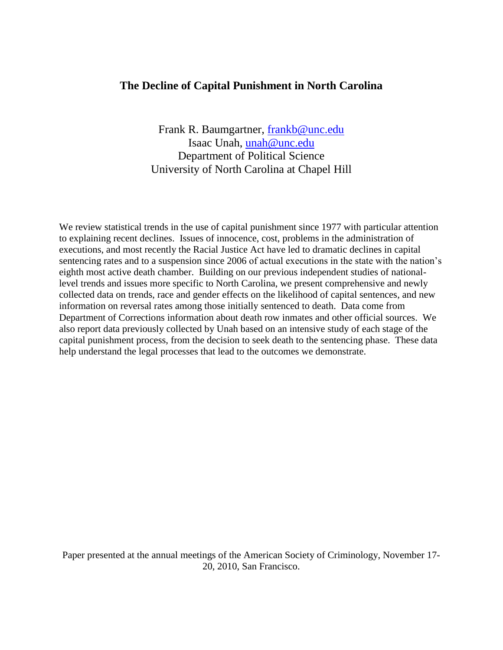# **The Decline of Capital Punishment in North Carolina**

Frank R. Baumgartner, [frankb@unc.edu](mailto:frankb@unc.edu) Isaac Unah, [unah@unc.edu](mailto:unah@unc.edu) Department of Political Science University of North Carolina at Chapel Hill

We review statistical trends in the use of capital punishment since 1977 with particular attention to explaining recent declines. Issues of innocence, cost, problems in the administration of executions, and most recently the Racial Justice Act have led to dramatic declines in capital sentencing rates and to a suspension since 2006 of actual executions in the state with the nation's eighth most active death chamber. Building on our previous independent studies of nationallevel trends and issues more specific to North Carolina, we present comprehensive and newly collected data on trends, race and gender effects on the likelihood of capital sentences, and new information on reversal rates among those initially sentenced to death. Data come from Department of Corrections information about death row inmates and other official sources. We also report data previously collected by Unah based on an intensive study of each stage of the capital punishment process, from the decision to seek death to the sentencing phase. These data help understand the legal processes that lead to the outcomes we demonstrate.

Paper presented at the annual meetings of the American Society of Criminology, November 17- 20, 2010, San Francisco.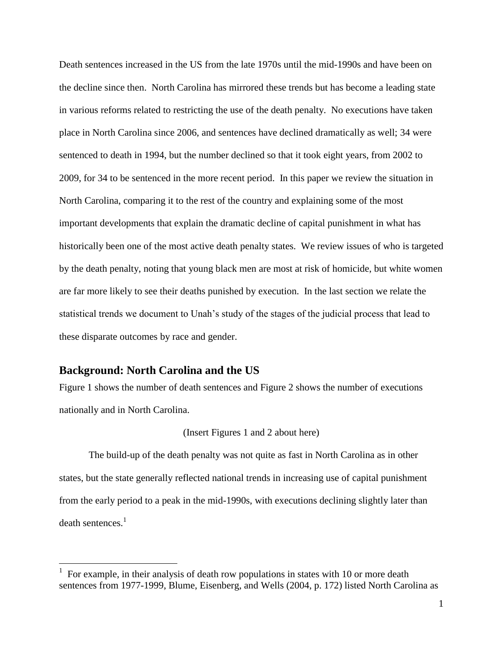Death sentences increased in the US from the late 1970s until the mid-1990s and have been on the decline since then. North Carolina has mirrored these trends but has become a leading state in various reforms related to restricting the use of the death penalty. No executions have taken place in North Carolina since 2006, and sentences have declined dramatically as well; 34 were sentenced to death in 1994, but the number declined so that it took eight years, from 2002 to 2009, for 34 to be sentenced in the more recent period. In this paper we review the situation in North Carolina, comparing it to the rest of the country and explaining some of the most important developments that explain the dramatic decline of capital punishment in what has historically been one of the most active death penalty states. We review issues of who is targeted by the death penalty, noting that young black men are most at risk of homicide, but white women are far more likely to see their deaths punished by execution. In the last section we relate the statistical trends we document to Unah's study of the stages of the judicial process that lead to these disparate outcomes by race and gender.

## **Background: North Carolina and the US**

 $\overline{a}$ 

Figure 1 shows the number of death sentences and Figure 2 shows the number of executions nationally and in North Carolina.

## (Insert Figures 1 and 2 about here)

The build-up of the death penalty was not quite as fast in North Carolina as in other states, but the state generally reflected national trends in increasing use of capital punishment from the early period to a peak in the mid-1990s, with executions declining slightly later than  $death$  sentences.<sup>1</sup>

<sup>1</sup> For example, in their analysis of death row populations in states with 10 or more death sentences from 1977-1999, Blume, Eisenberg, and Wells (2004, p. 172) listed North Carolina as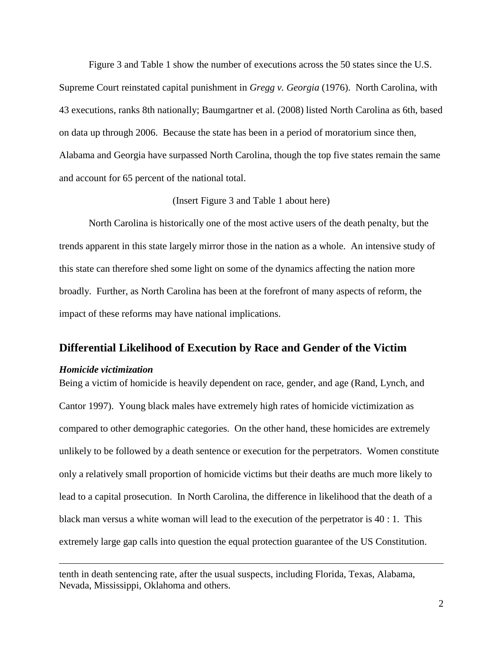Figure 3 and Table 1 show the number of executions across the 50 states since the U.S. Supreme Court reinstated capital punishment in *Gregg v. Georgia* (1976). North Carolina, with 43 executions, ranks 8th nationally; Baumgartner et al. (2008) listed North Carolina as 6th, based on data up through 2006. Because the state has been in a period of moratorium since then, Alabama and Georgia have surpassed North Carolina, though the top five states remain the same and account for 65 percent of the national total.

## (Insert Figure 3 and Table 1 about here)

North Carolina is historically one of the most active users of the death penalty, but the trends apparent in this state largely mirror those in the nation as a whole. An intensive study of this state can therefore shed some light on some of the dynamics affecting the nation more broadly. Further, as North Carolina has been at the forefront of many aspects of reform, the impact of these reforms may have national implications.

# **Differential Likelihood of Execution by Race and Gender of the Victim**

## *Homicide victimization*

 $\overline{a}$ 

Being a victim of homicide is heavily dependent on race, gender, and age (Rand, Lynch, and Cantor 1997). Young black males have extremely high rates of homicide victimization as compared to other demographic categories. On the other hand, these homicides are extremely unlikely to be followed by a death sentence or execution for the perpetrators. Women constitute only a relatively small proportion of homicide victims but their deaths are much more likely to lead to a capital prosecution. In North Carolina, the difference in likelihood that the death of a black man versus a white woman will lead to the execution of the perpetrator is 40 : 1. This extremely large gap calls into question the equal protection guarantee of the US Constitution.

tenth in death sentencing rate, after the usual suspects, including Florida, Texas, Alabama, Nevada, Mississippi, Oklahoma and others.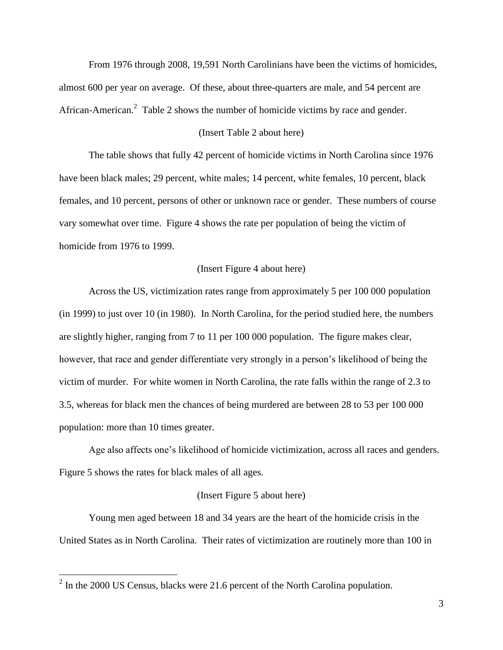From 1976 through 2008, 19,591 North Carolinians have been the victims of homicides, almost 600 per year on average. Of these, about three-quarters are male, and 54 percent are African-American.<sup>2</sup> Table 2 shows the number of homicide victims by race and gender.

## (Insert Table 2 about here)

The table shows that fully 42 percent of homicide victims in North Carolina since 1976 have been black males; 29 percent, white males; 14 percent, white females, 10 percent, black females, and 10 percent, persons of other or unknown race or gender. These numbers of course vary somewhat over time. Figure 4 shows the rate per population of being the victim of homicide from 1976 to 1999.

#### (Insert Figure 4 about here)

Across the US, victimization rates range from approximately 5 per 100 000 population (in 1999) to just over 10 (in 1980). In North Carolina, for the period studied here, the numbers are slightly higher, ranging from 7 to 11 per 100 000 population. The figure makes clear, however, that race and gender differentiate very strongly in a person's likelihood of being the victim of murder. For white women in North Carolina, the rate falls within the range of 2.3 to 3.5, whereas for black men the chances of being murdered are between 28 to 53 per 100 000 population: more than 10 times greater.

Age also affects one's likelihood of homicide victimization, across all races and genders. Figure 5 shows the rates for black males of all ages.

#### (Insert Figure 5 about here)

Young men aged between 18 and 34 years are the heart of the homicide crisis in the United States as in North Carolina. Their rates of victimization are routinely more than 100 in

<sup>&</sup>lt;sup>2</sup> In the 2000 US Census, blacks were 21.6 percent of the North Carolina population.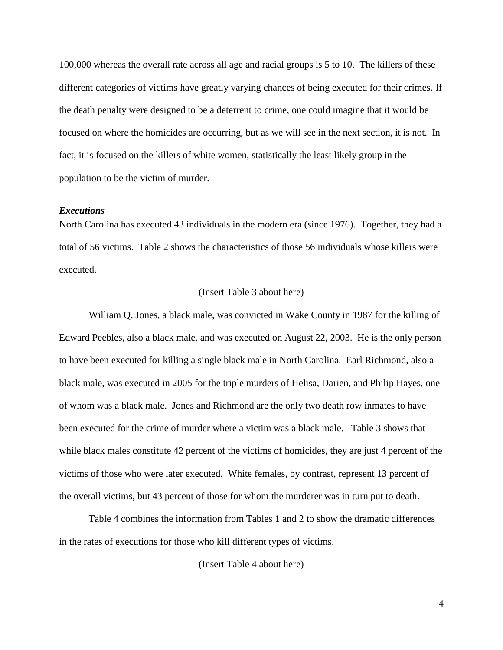100,000 whereas the overall rate across all age and racial groups is 5 to 10. The killers of these different categories of victims have greatly varying chances of being executed for their crimes. If the death penalty were designed to be a deterrent to crime, one could imagine that it would be focused on where the homicides are occurring, but as we will see in the next section, it is not. In fact, it is focused on the killers of white women, statistically the least likely group in the population to be the victim of murder.

#### *Executions*

North Carolina has executed 43 individuals in the modern era (since 1976). Together, they had a total of 56 victims. Table 2 shows the characteristics of those 56 individuals whose killers were executed.

#### (Insert Table 3 about here)

William Q. Jones, a black male, was convicted in Wake County in 1987 for the killing of Edward Peebles, also a black male, and was executed on August 22, 2003. He is the only person to have been executed for killing a single black male in North Carolina. Earl Richmond, also a black male, was executed in 2005 for the triple murders of Helisa, Darien, and Philip Hayes, one of whom was a black male. Jones and Richmond are the only two death row inmates to have been executed for the crime of murder where a victim was a black male. Table 3 shows that while black males constitute 42 percent of the victims of homicides, they are just 4 percent of the victims of those who were later executed. White females, by contrast, represent 13 percent of the overall victims, but 43 percent of those for whom the murderer was in turn put to death.

Table 4 combines the information from Tables 1 and 2 to show the dramatic differences in the rates of executions for those who kill different types of victims.

(Insert Table 4 about here)

4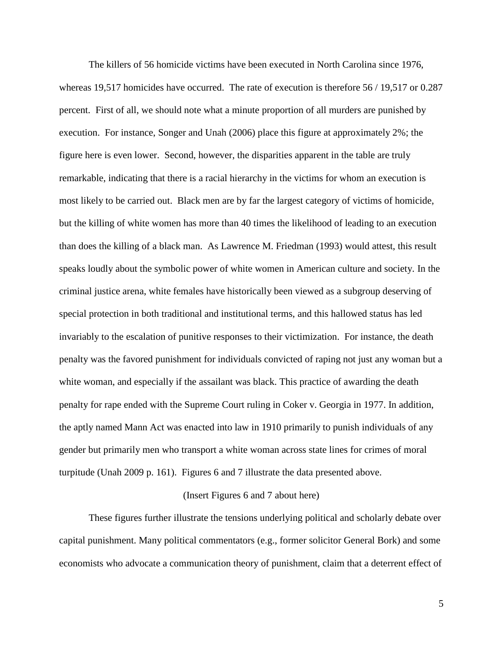The killers of 56 homicide victims have been executed in North Carolina since 1976, whereas 19,517 homicides have occurred. The rate of execution is therefore 56 / 19,517 or 0.287 percent. First of all, we should note what a minute proportion of all murders are punished by execution. For instance, Songer and Unah (2006) place this figure at approximately 2%; the figure here is even lower. Second, however, the disparities apparent in the table are truly remarkable, indicating that there is a racial hierarchy in the victims for whom an execution is most likely to be carried out. Black men are by far the largest category of victims of homicide, but the killing of white women has more than 40 times the likelihood of leading to an execution than does the killing of a black man. As Lawrence M. Friedman (1993) would attest, this result speaks loudly about the symbolic power of white women in American culture and society. In the criminal justice arena, white females have historically been viewed as a subgroup deserving of special protection in both traditional and institutional terms, and this hallowed status has led invariably to the escalation of punitive responses to their victimization. For instance, the death penalty was the favored punishment for individuals convicted of raping not just any woman but a white woman, and especially if the assailant was black. This practice of awarding the death penalty for rape ended with the Supreme Court ruling in Coker v. Georgia in 1977. In addition, the aptly named Mann Act was enacted into law in 1910 primarily to punish individuals of any gender but primarily men who transport a white woman across state lines for crimes of moral turpitude (Unah 2009 p. 161). Figures 6 and 7 illustrate the data presented above.

#### (Insert Figures 6 and 7 about here)

These figures further illustrate the tensions underlying political and scholarly debate over capital punishment. Many political commentators (e.g., former solicitor General Bork) and some economists who advocate a communication theory of punishment, claim that a deterrent effect of

5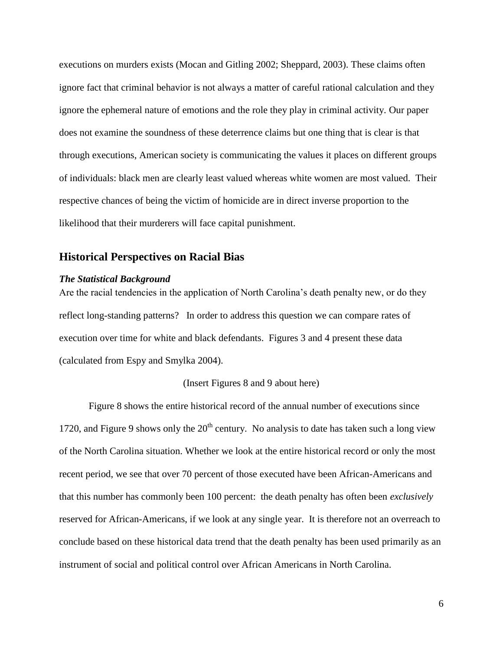executions on murders exists (Mocan and Gitling 2002; Sheppard, 2003). These claims often ignore fact that criminal behavior is not always a matter of careful rational calculation and they ignore the ephemeral nature of emotions and the role they play in criminal activity. Our paper does not examine the soundness of these deterrence claims but one thing that is clear is that through executions, American society is communicating the values it places on different groups of individuals: black men are clearly least valued whereas white women are most valued. Their respective chances of being the victim of homicide are in direct inverse proportion to the likelihood that their murderers will face capital punishment.

# **Historical Perspectives on Racial Bias**

#### *The Statistical Background*

Are the racial tendencies in the application of North Carolina's death penalty new, or do they reflect long-standing patterns? In order to address this question we can compare rates of execution over time for white and black defendants. Figures 3 and 4 present these data (calculated from Espy and Smylka 2004).

#### (Insert Figures 8 and 9 about here)

Figure 8 shows the entire historical record of the annual number of executions since 1720, and Figure 9 shows only the  $20<sup>th</sup>$  century. No analysis to date has taken such a long view of the North Carolina situation. Whether we look at the entire historical record or only the most recent period, we see that over 70 percent of those executed have been African-Americans and that this number has commonly been 100 percent: the death penalty has often been *exclusively* reserved for African-Americans, if we look at any single year. It is therefore not an overreach to conclude based on these historical data trend that the death penalty has been used primarily as an instrument of social and political control over African Americans in North Carolina.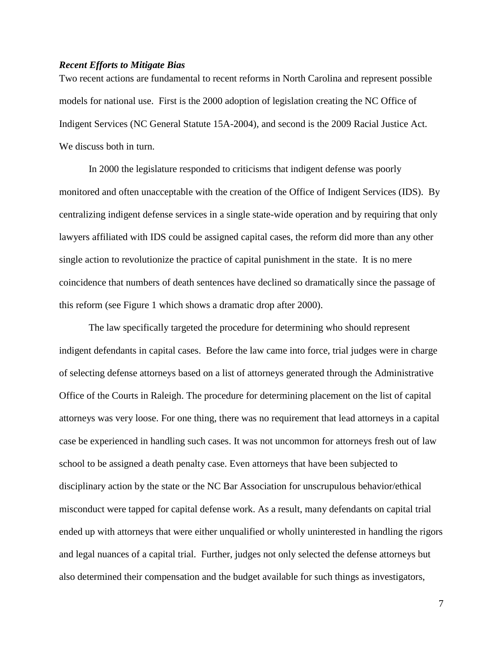## *Recent Efforts to Mitigate Bias*

Two recent actions are fundamental to recent reforms in North Carolina and represent possible models for national use. First is the 2000 adoption of legislation creating the NC Office of Indigent Services (NC General Statute 15A-2004), and second is the 2009 Racial Justice Act. We discuss both in turn.

In 2000 the legislature responded to criticisms that indigent defense was poorly monitored and often unacceptable with the creation of the Office of Indigent Services (IDS). By centralizing indigent defense services in a single state-wide operation and by requiring that only lawyers affiliated with IDS could be assigned capital cases, the reform did more than any other single action to revolutionize the practice of capital punishment in the state. It is no mere coincidence that numbers of death sentences have declined so dramatically since the passage of this reform (see Figure 1 which shows a dramatic drop after 2000).

The law specifically targeted the procedure for determining who should represent indigent defendants in capital cases. Before the law came into force, trial judges were in charge of selecting defense attorneys based on a list of attorneys generated through the Administrative Office of the Courts in Raleigh. The procedure for determining placement on the list of capital attorneys was very loose. For one thing, there was no requirement that lead attorneys in a capital case be experienced in handling such cases. It was not uncommon for attorneys fresh out of law school to be assigned a death penalty case. Even attorneys that have been subjected to disciplinary action by the state or the NC Bar Association for unscrupulous behavior/ethical misconduct were tapped for capital defense work. As a result, many defendants on capital trial ended up with attorneys that were either unqualified or wholly uninterested in handling the rigors and legal nuances of a capital trial. Further, judges not only selected the defense attorneys but also determined their compensation and the budget available for such things as investigators,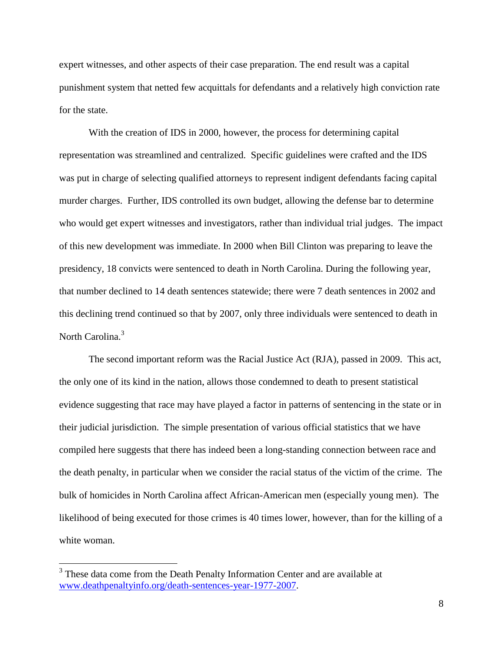expert witnesses, and other aspects of their case preparation. The end result was a capital punishment system that netted few acquittals for defendants and a relatively high conviction rate for the state.

With the creation of IDS in 2000, however, the process for determining capital representation was streamlined and centralized. Specific guidelines were crafted and the IDS was put in charge of selecting qualified attorneys to represent indigent defendants facing capital murder charges. Further, IDS controlled its own budget, allowing the defense bar to determine who would get expert witnesses and investigators, rather than individual trial judges. The impact of this new development was immediate. In 2000 when Bill Clinton was preparing to leave the presidency, 18 convicts were sentenced to death in North Carolina. During the following year, that number declined to 14 death sentences statewide; there were 7 death sentences in 2002 and this declining trend continued so that by 2007, only three individuals were sentenced to death in North Carolina.<sup>3</sup>

The second important reform was the Racial Justice Act (RJA), passed in 2009. This act, the only one of its kind in the nation, allows those condemned to death to present statistical evidence suggesting that race may have played a factor in patterns of sentencing in the state or in their judicial jurisdiction. The simple presentation of various official statistics that we have compiled here suggests that there has indeed been a long-standing connection between race and the death penalty, in particular when we consider the racial status of the victim of the crime. The bulk of homicides in North Carolina affect African-American men (especially young men). The likelihood of being executed for those crimes is 40 times lower, however, than for the killing of a white woman.

 $\overline{a}$ 

<sup>&</sup>lt;sup>3</sup> These data come from the Death Penalty Information Center and are available at [www.deathpenaltyinfo.org/death-sentences-year-1977-2007.](http://www.deathpenaltyinfo.org/death-sentences-year-1977-2007)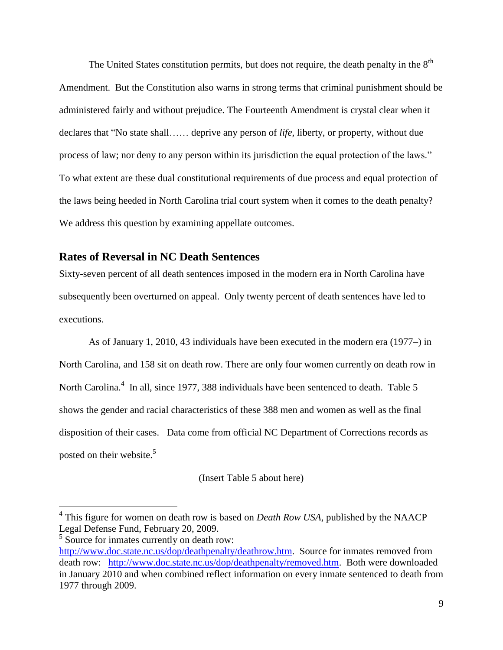The United States constitution permits, but does not require, the death penalty in the  $8<sup>th</sup>$ Amendment. But the Constitution also warns in strong terms that criminal punishment should be administered fairly and without prejudice. The Fourteenth Amendment is crystal clear when it declares that "No state shall…… deprive any person of *life*, liberty, or property, without due process of law; nor deny to any person within its jurisdiction the equal protection of the laws." To what extent are these dual constitutional requirements of due process and equal protection of the laws being heeded in North Carolina trial court system when it comes to the death penalty? We address this question by examining appellate outcomes.

# **Rates of Reversal in NC Death Sentences**

Sixty-seven percent of all death sentences imposed in the modern era in North Carolina have subsequently been overturned on appeal. Only twenty percent of death sentences have led to executions.

As of January 1, 2010, 43 individuals have been executed in the modern era (1977*–*) in North Carolina, and 158 sit on death row. There are only four women currently on death row in North Carolina.<sup>4</sup> In all, since 1977, 388 individuals have been sentenced to death. Table 5 shows the gender and racial characteristics of these 388 men and women as well as the final disposition of their cases. Data come from official NC Department of Corrections records as posted on their website.<sup>5</sup>

(Insert Table 5 about here)

 $\overline{a}$ 

<sup>&</sup>lt;sup>4</sup> This figure for women on death row is based on *Death Row USA*, published by the NAACP Legal Defense Fund, February 20, 2009.

<sup>&</sup>lt;sup>5</sup> Source for inmates currently on death row:

[http://www.doc.state.nc.us/dop/deathpenalty/deathrow.htm.](http://www.doc.state.nc.us/dop/deathpenalty/deathrow.htm) Source for inmates removed from death row: http://www.doc.state.nc<u>.us/dop/deathpenalty/removed.htm</u>. Both were downloaded in January 2010 and when combined reflect information on every inmate sentenced to death from 1977 through 2009.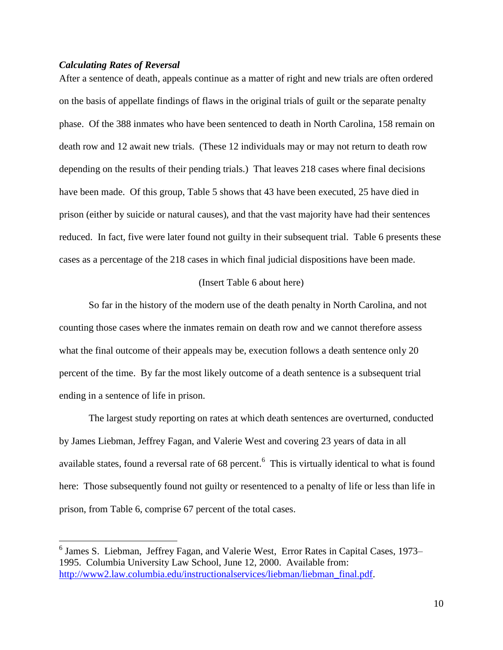#### *Calculating Rates of Reversal*

 $\overline{a}$ 

After a sentence of death, appeals continue as a matter of right and new trials are often ordered on the basis of appellate findings of flaws in the original trials of guilt or the separate penalty phase. Of the 388 inmates who have been sentenced to death in North Carolina, 158 remain on death row and 12 await new trials. (These 12 individuals may or may not return to death row depending on the results of their pending trials.) That leaves 218 cases where final decisions have been made. Of this group, Table 5 shows that 43 have been executed, 25 have died in prison (either by suicide or natural causes), and that the vast majority have had their sentences reduced. In fact, five were later found not guilty in their subsequent trial. Table 6 presents these cases as a percentage of the 218 cases in which final judicial dispositions have been made.

## (Insert Table 6 about here)

So far in the history of the modern use of the death penalty in North Carolina, and not counting those cases where the inmates remain on death row and we cannot therefore assess what the final outcome of their appeals may be, execution follows a death sentence only 20 percent of the time. By far the most likely outcome of a death sentence is a subsequent trial ending in a sentence of life in prison.

The largest study reporting on rates at which death sentences are overturned, conducted by James Liebman, Jeffrey Fagan, and Valerie West and covering 23 years of data in all available states, found a reversal rate of 68 percent.<sup>6</sup> This is virtually identical to what is found here: Those subsequently found not guilty or resentenced to a penalty of life or less than life in prison, from Table 6, comprise 67 percent of the total cases.

<sup>6</sup> James S. Liebman, Jeffrey Fagan, and Valerie West, Error Rates in Capital Cases, 1973*–* 1995. Columbia University Law School, June 12, 2000. Available from: [http://www2.law.columbia.edu/instructionalservices/liebman/liebman\\_final.pdf.](http://www2.law.columbia.edu/instructionalservices/liebman/liebman_final.pdf)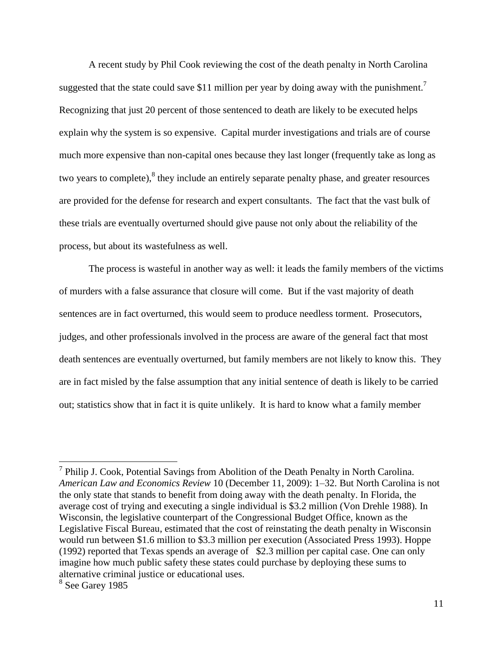A recent study by Phil Cook reviewing the cost of the death penalty in North Carolina suggested that the state could save \$11 million per year by doing away with the punishment.<sup>7</sup> Recognizing that just 20 percent of those sentenced to death are likely to be executed helps explain why the system is so expensive. Capital murder investigations and trials are of course much more expensive than non-capital ones because they last longer (frequently take as long as two years to complete), <sup>8</sup> they include an entirely separate penalty phase, and greater resources are provided for the defense for research and expert consultants. The fact that the vast bulk of these trials are eventually overturned should give pause not only about the reliability of the process, but about its wastefulness as well.

The process is wasteful in another way as well: it leads the family members of the victims of murders with a false assurance that closure will come. But if the vast majority of death sentences are in fact overturned, this would seem to produce needless torment. Prosecutors, judges, and other professionals involved in the process are aware of the general fact that most death sentences are eventually overturned, but family members are not likely to know this. They are in fact misled by the false assumption that any initial sentence of death is likely to be carried out; statistics show that in fact it is quite unlikely. It is hard to know what a family member

 $\overline{a}$ 

<sup>&</sup>lt;sup>7</sup> Philip J. Cook, Potential Savings from Abolition of the Death Penalty in North Carolina. *American Law and Economics Review* 10 (December 11, 2009): 1*–*32. But North Carolina is not the only state that stands to benefit from doing away with the death penalty. In Florida, the average cost of trying and executing a single individual is \$3.2 million (Von Drehle 1988). In Wisconsin, the legislative counterpart of the Congressional Budget Office, known as the Legislative Fiscal Bureau, estimated that the cost of reinstating the death penalty in Wisconsin would run between \$1.6 million to \$3.3 million per execution (Associated Press 1993). Hoppe (1992) reported that Texas spends an average of \$2.3 million per capital case. One can only imagine how much public safety these states could purchase by deploying these sums to alternative criminal justice or educational uses.

<sup>&</sup>lt;sup>8</sup> See Garey 1985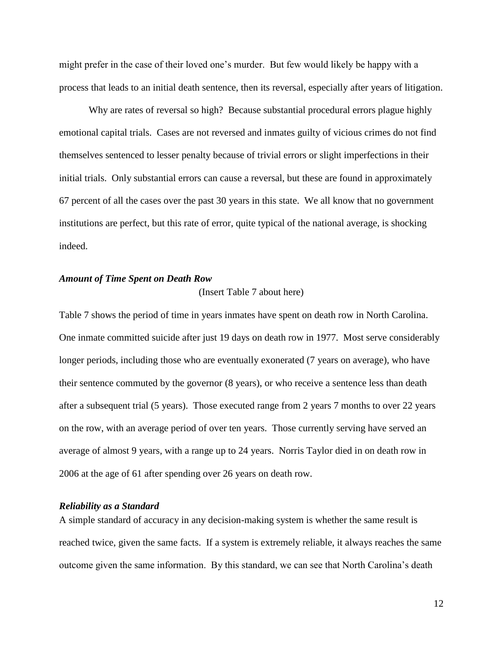might prefer in the case of their loved one's murder. But few would likely be happy with a process that leads to an initial death sentence, then its reversal, especially after years of litigation.

Why are rates of reversal so high? Because substantial procedural errors plague highly emotional capital trials. Cases are not reversed and inmates guilty of vicious crimes do not find themselves sentenced to lesser penalty because of trivial errors or slight imperfections in their initial trials. Only substantial errors can cause a reversal, but these are found in approximately 67 percent of all the cases over the past 30 years in this state. We all know that no government institutions are perfect, but this rate of error, quite typical of the national average, is shocking indeed.

## *Amount of Time Spent on Death Row*

#### (Insert Table 7 about here)

Table 7 shows the period of time in years inmates have spent on death row in North Carolina. One inmate committed suicide after just 19 days on death row in 1977. Most serve considerably longer periods, including those who are eventually exonerated (7 years on average), who have their sentence commuted by the governor (8 years), or who receive a sentence less than death after a subsequent trial (5 years). Those executed range from 2 years 7 months to over 22 years on the row, with an average period of over ten years. Those currently serving have served an average of almost 9 years, with a range up to 24 years. Norris Taylor died in on death row in 2006 at the age of 61 after spending over 26 years on death row.

# *Reliability as a Standard*

A simple standard of accuracy in any decision-making system is whether the same result is reached twice, given the same facts. If a system is extremely reliable, it always reaches the same outcome given the same information. By this standard, we can see that North Carolina's death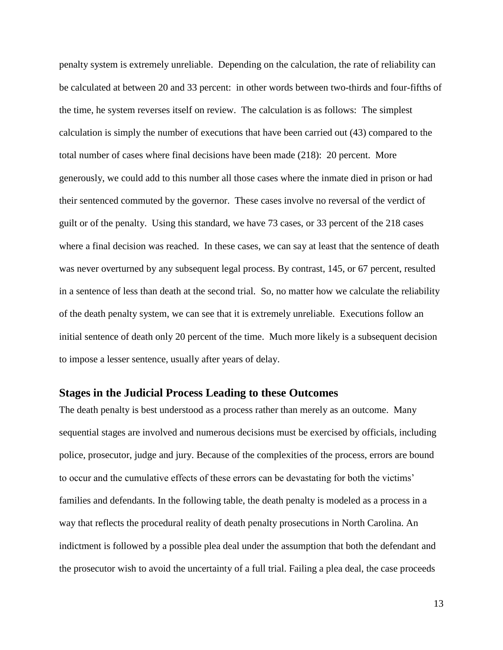penalty system is extremely unreliable. Depending on the calculation, the rate of reliability can be calculated at between 20 and 33 percent: in other words between two-thirds and four-fifths of the time, he system reverses itself on review. The calculation is as follows: The simplest calculation is simply the number of executions that have been carried out (43) compared to the total number of cases where final decisions have been made (218): 20 percent. More generously, we could add to this number all those cases where the inmate died in prison or had their sentenced commuted by the governor. These cases involve no reversal of the verdict of guilt or of the penalty. Using this standard, we have 73 cases, or 33 percent of the 218 cases where a final decision was reached. In these cases, we can say at least that the sentence of death was never overturned by any subsequent legal process. By contrast, 145, or 67 percent, resulted in a sentence of less than death at the second trial. So, no matter how we calculate the reliability of the death penalty system, we can see that it is extremely unreliable. Executions follow an initial sentence of death only 20 percent of the time. Much more likely is a subsequent decision to impose a lesser sentence, usually after years of delay.

# **Stages in the Judicial Process Leading to these Outcomes**

The death penalty is best understood as a process rather than merely as an outcome. Many sequential stages are involved and numerous decisions must be exercised by officials, including police, prosecutor, judge and jury. Because of the complexities of the process, errors are bound to occur and the cumulative effects of these errors can be devastating for both the victims' families and defendants. In the following table, the death penalty is modeled as a process in a way that reflects the procedural reality of death penalty prosecutions in North Carolina. An indictment is followed by a possible plea deal under the assumption that both the defendant and the prosecutor wish to avoid the uncertainty of a full trial. Failing a plea deal, the case proceeds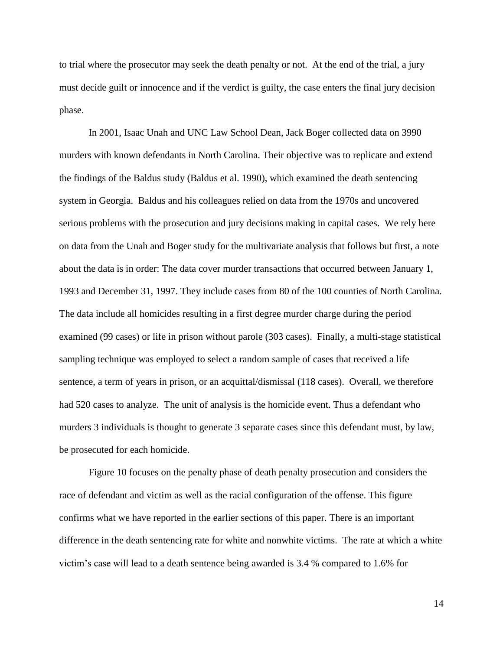to trial where the prosecutor may seek the death penalty or not. At the end of the trial, a jury must decide guilt or innocence and if the verdict is guilty, the case enters the final jury decision phase.

In 2001, Isaac Unah and UNC Law School Dean, Jack Boger collected data on 3990 murders with known defendants in North Carolina. Their objective was to replicate and extend the findings of the Baldus study (Baldus et al. 1990), which examined the death sentencing system in Georgia. Baldus and his colleagues relied on data from the 1970s and uncovered serious problems with the prosecution and jury decisions making in capital cases. We rely here on data from the Unah and Boger study for the multivariate analysis that follows but first, a note about the data is in order: The data cover murder transactions that occurred between January 1, 1993 and December 31, 1997. They include cases from 80 of the 100 counties of North Carolina. The data include all homicides resulting in a first degree murder charge during the period examined (99 cases) or life in prison without parole (303 cases). Finally, a multi-stage statistical sampling technique was employed to select a random sample of cases that received a life sentence, a term of years in prison, or an acquittal/dismissal (118 cases). Overall, we therefore had 520 cases to analyze. The unit of analysis is the homicide event. Thus a defendant who murders 3 individuals is thought to generate 3 separate cases since this defendant must, by law, be prosecuted for each homicide.

Figure 10 focuses on the penalty phase of death penalty prosecution and considers the race of defendant and victim as well as the racial configuration of the offense. This figure confirms what we have reported in the earlier sections of this paper. There is an important difference in the death sentencing rate for white and nonwhite victims. The rate at which a white victim's case will lead to a death sentence being awarded is 3.4 % compared to 1.6% for

14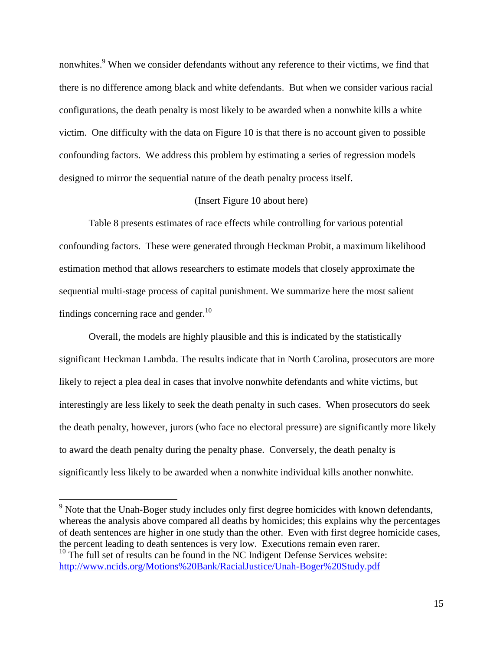nonwhites.<sup>9</sup> When we consider defendants without any reference to their victims, we find that there is no difference among black and white defendants. But when we consider various racial configurations, the death penalty is most likely to be awarded when a nonwhite kills a white victim. One difficulty with the data on Figure 10 is that there is no account given to possible confounding factors. We address this problem by estimating a series of regression models designed to mirror the sequential nature of the death penalty process itself.

## (Insert Figure 10 about here)

Table 8 presents estimates of race effects while controlling for various potential confounding factors. These were generated through Heckman Probit, a maximum likelihood estimation method that allows researchers to estimate models that closely approximate the sequential multi-stage process of capital punishment. We summarize here the most salient findings concerning race and gender. $^{10}$ 

Overall, the models are highly plausible and this is indicated by the statistically significant Heckman Lambda. The results indicate that in North Carolina, prosecutors are more likely to reject a plea deal in cases that involve nonwhite defendants and white victims, but interestingly are less likely to seek the death penalty in such cases. When prosecutors do seek the death penalty, however, jurors (who face no electoral pressure) are significantly more likely to award the death penalty during the penalty phase. Conversely, the death penalty is significantly less likely to be awarded when a nonwhite individual kills another nonwhite.

 $\overline{a}$ 

<sup>&</sup>lt;sup>9</sup> Note that the Unah-Boger study includes only first degree homicides with known defendants, whereas the analysis above compared all deaths by homicides; this explains why the percentages of death sentences are higher in one study than the other. Even with first degree homicide cases, the percent leading to death sentences is very low. Executions remain even rarer.  $10$  The full set of results can be found in the NC Indigent Defense Services website: <http://www.ncids.org/Motions%20Bank/RacialJustice/Unah-Boger%20Study.pdf>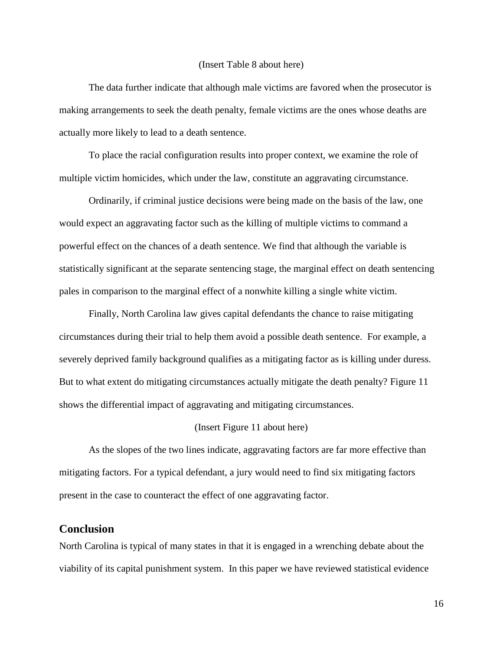#### (Insert Table 8 about here)

The data further indicate that although male victims are favored when the prosecutor is making arrangements to seek the death penalty, female victims are the ones whose deaths are actually more likely to lead to a death sentence.

To place the racial configuration results into proper context, we examine the role of multiple victim homicides, which under the law, constitute an aggravating circumstance.

Ordinarily, if criminal justice decisions were being made on the basis of the law, one would expect an aggravating factor such as the killing of multiple victims to command a powerful effect on the chances of a death sentence. We find that although the variable is statistically significant at the separate sentencing stage, the marginal effect on death sentencing pales in comparison to the marginal effect of a nonwhite killing a single white victim.

Finally, North Carolina law gives capital defendants the chance to raise mitigating circumstances during their trial to help them avoid a possible death sentence. For example, a severely deprived family background qualifies as a mitigating factor as is killing under duress. But to what extent do mitigating circumstances actually mitigate the death penalty? Figure 11 shows the differential impact of aggravating and mitigating circumstances.

#### (Insert Figure 11 about here)

As the slopes of the two lines indicate, aggravating factors are far more effective than mitigating factors. For a typical defendant, a jury would need to find six mitigating factors present in the case to counteract the effect of one aggravating factor.

# **Conclusion**

North Carolina is typical of many states in that it is engaged in a wrenching debate about the viability of its capital punishment system. In this paper we have reviewed statistical evidence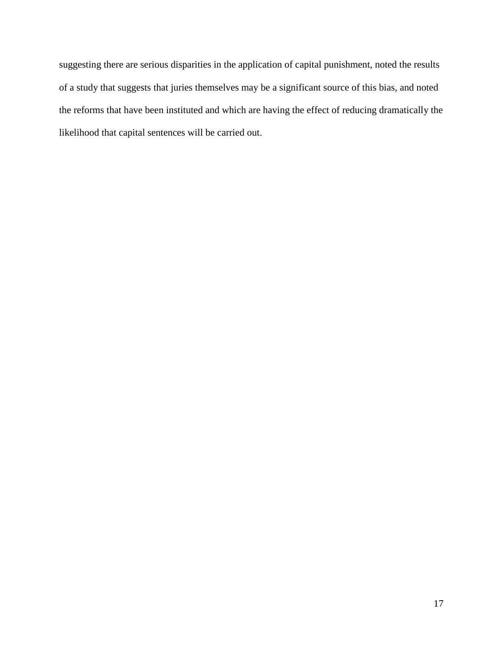suggesting there are serious disparities in the application of capital punishment, noted the results of a study that suggests that juries themselves may be a significant source of this bias, and noted the reforms that have been instituted and which are having the effect of reducing dramatically the likelihood that capital sentences will be carried out.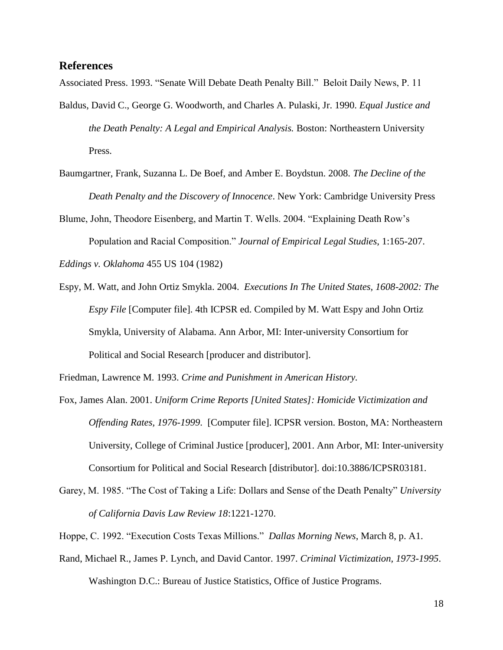## **References**

Associated Press. 1993. "Senate Will Debate Death Penalty Bill." Beloit Daily News, P. 11

- Baldus, David C., George G. Woodworth, and Charles A. Pulaski, Jr. 1990. *Equal Justice and the Death Penalty: A Legal and Empirical Analysis.* Boston: Northeastern University Press.
- Baumgartner, Frank, Suzanna L. De Boef, and Amber E. Boydstun. 2008. *The Decline of the Death Penalty and the Discovery of Innocence*. New York: Cambridge University Press
- Blume, John, Theodore Eisenberg, and Martin T. Wells. 2004. "Explaining Death Row's Population and Racial Composition." *Journal of Empirical Legal Studies*, 1:165-207.

*Eddings v. Oklahoma* 455 US 104 (1982)

Espy, M. Watt, and John Ortiz Smykla. 2004. *Executions In The United States, 1608-2002: The Espy File* [Computer file]. 4th ICPSR ed. Compiled by M. Watt Espy and John Ortiz Smykla, University of Alabama. Ann Arbor, MI: Inter-university Consortium for Political and Social Research [producer and distributor].

Friedman, Lawrence M. 1993. *Crime and Punishment in American History.*

- Fox, James Alan. 2001. *Uniform Crime Reports [United States]: Homicide Victimization and Offending Rates, 1976-1999*. [Computer file]. ICPSR version. Boston, MA: Northeastern University, College of Criminal Justice [producer], 2001. Ann Arbor, MI: Inter-university Consortium for Political and Social Research [distributor]. doi:10.3886/ICPSR03181.
- Garey, M. 1985. "The Cost of Taking a Life: Dollars and Sense of the Death Penalty" *University of California Davis Law Review 18*:1221-1270.
- Hoppe, C. 1992. "Execution Costs Texas Millions." *Dallas Morning News*, March 8, p. A1.
- Rand, Michael R., James P. Lynch, and David Cantor. 1997. *Criminal Victimization, 1973-1995*. Washington D.C.: Bureau of Justice Statistics, Office of Justice Programs.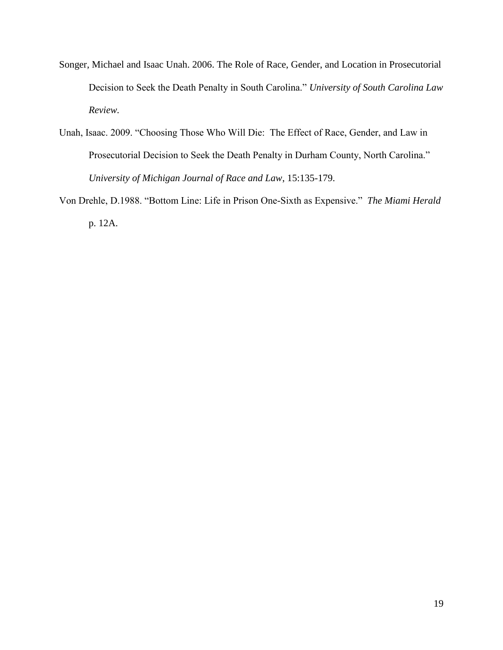- Songer, Michael and Isaac Unah. 2006. The Role of Race, Gender, and Location in Prosecutorial Decision to Seek the Death Penalty in South Carolina." *University of South Carolina Law Review.*
- Unah, Isaac. 2009. "Choosing Those Who Will Die: The Effect of Race, Gender, and Law in Prosecutorial Decision to Seek the Death Penalty in Durham County, North Carolina." *University of Michigan Journal of Race and Law*, 15:135-179.
- Von Drehle, D.1988. "Bottom Line: Life in Prison One-Sixth as Expensive." *The Miami Herald* p. 12A.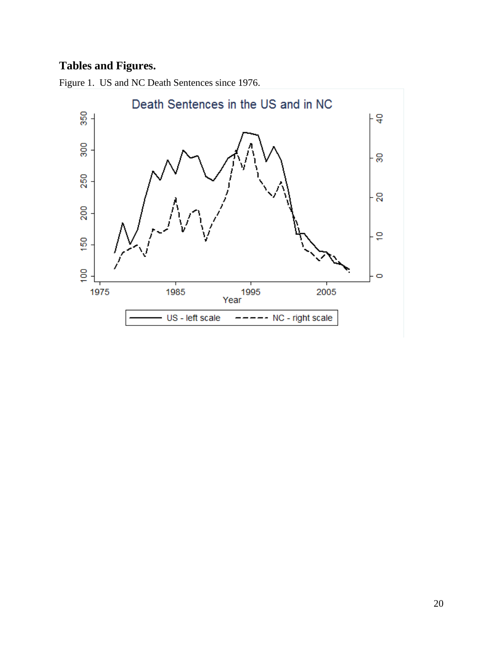# **Tables and Figures.**



Figure 1. US and NC Death Sentences since 1976.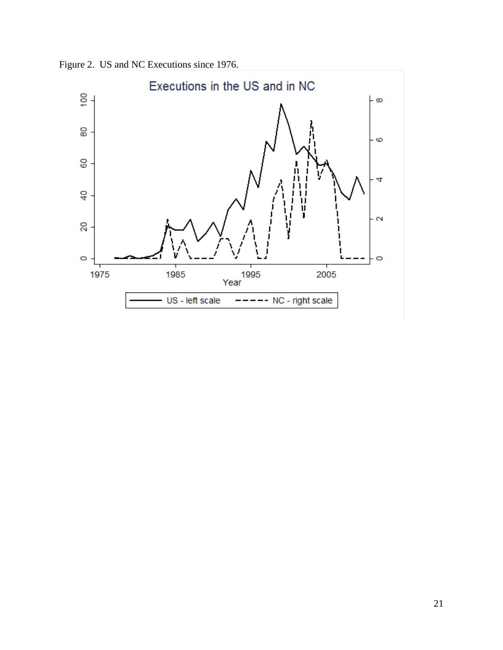Figure 2. US and NC Executions since 1976.

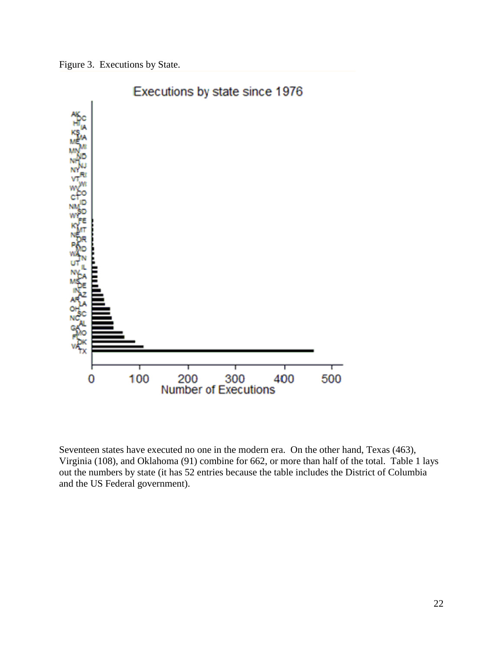



Executions by state since 1976

Seventeen states have executed no one in the modern era. On the other hand, Texas (463), Virginia (108), and Oklahoma (91) combine for 662, or more than half of the total. Table 1 lays out the numbers by state (it has 52 entries because the table includes the District of Columbia and the US Federal government).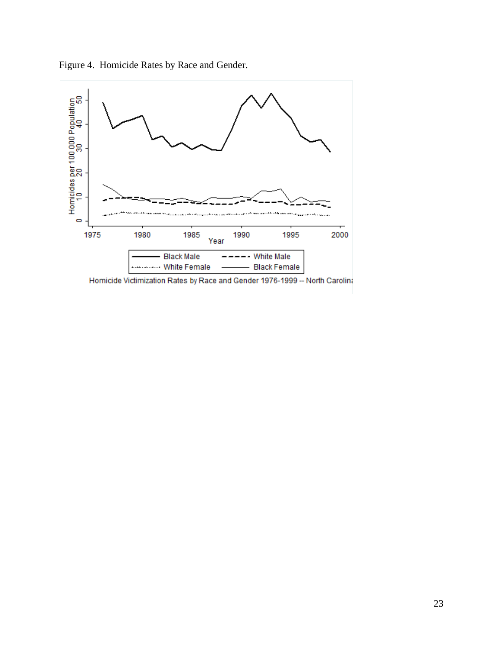

Figure 4. Homicide Rates by Race and Gender.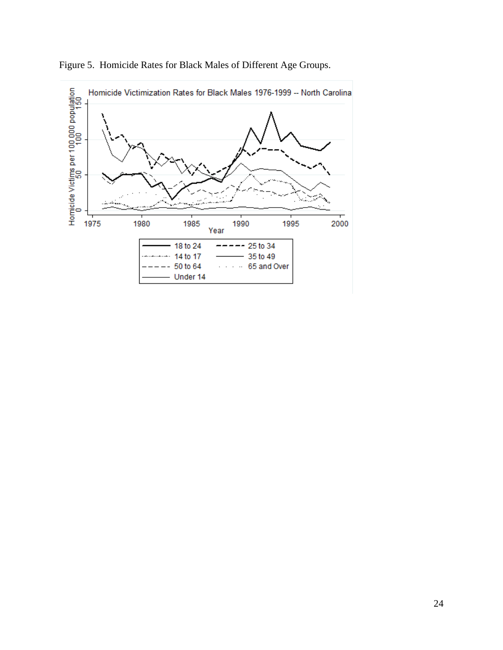

Figure 5. Homicide Rates for Black Males of Different Age Groups.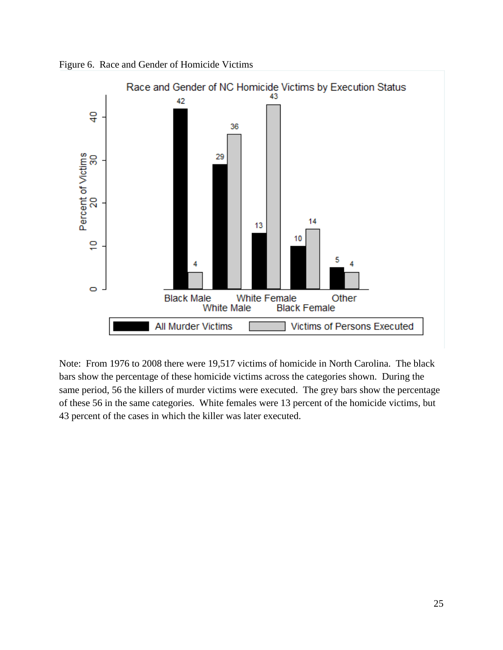



Note: From 1976 to 2008 there were 19,517 victims of homicide in North Carolina. The black bars show the percentage of these homicide victims across the categories shown. During the same period, 56 the killers of murder victims were executed. The grey bars show the percentage of these 56 in the same categories. White females were 13 percent of the homicide victims, but 43 percent of the cases in which the killer was later executed.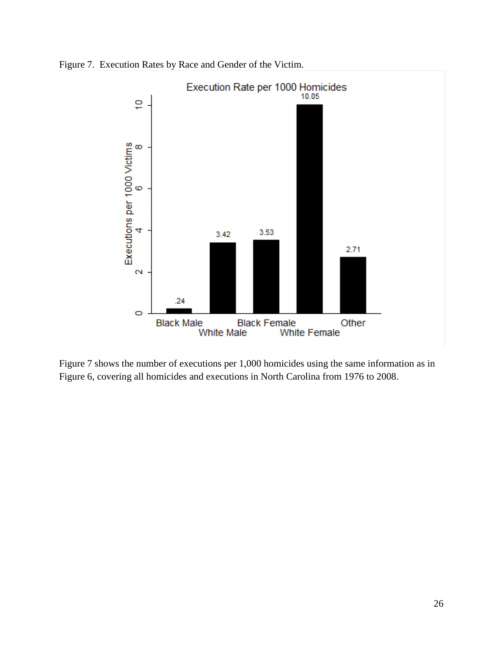



Figure 7 shows the number of executions per 1,000 homicides using the same information as in Figure 6, covering all homicides and executions in North Carolina from 1976 to 2008.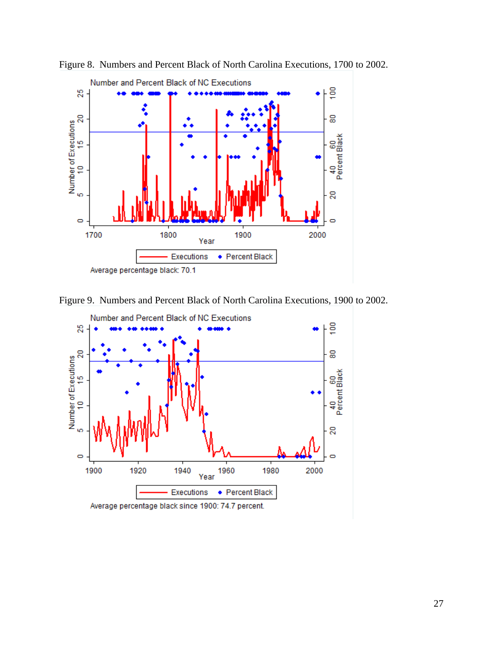

Figure 8. Numbers and Percent Black of North Carolina Executions, 1700 to 2002.

Figure 9. Numbers and Percent Black of North Carolina Executions, 1900 to 2002.

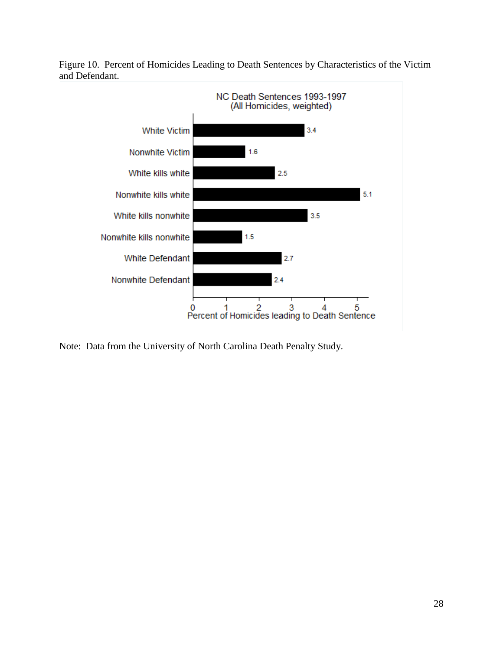

Figure 10. Percent of Homicides Leading to Death Sentences by Characteristics of the Victim and Defendant.

Note: Data from the University of North Carolina Death Penalty Study.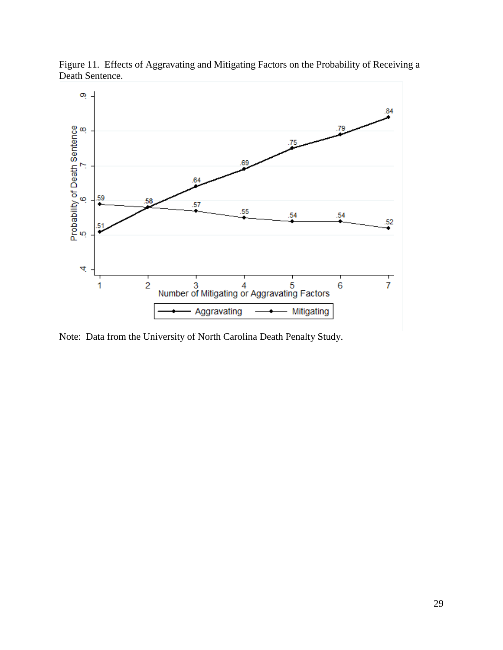

Figure 11. Effects of Aggravating and Mitigating Factors on the Probability of Receiving a Death Sentence.

Note: Data from the University of North Carolina Death Penalty Study.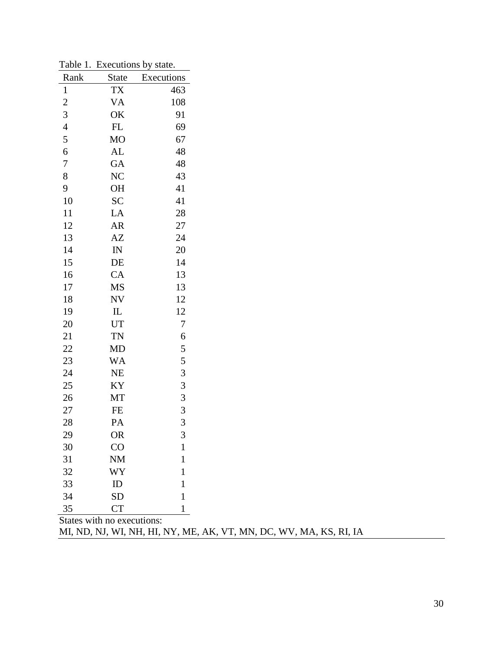| Rank           | <b>State</b>   | Executions     |
|----------------|----------------|----------------|
| $\mathbf{1}$   | <b>TX</b>      | 463            |
| $\overline{c}$ | VA             | 108            |
| 3              | OK             | 91             |
| $\overline{4}$ | FL             | 69             |
| 5              | M <sub>O</sub> | 67             |
| 6              | AL             | 48             |
| $\overline{7}$ | GA             | 48             |
| 8              | <b>NC</b>      | 43             |
| 9              | <b>OH</b>      | 41             |
| 10             | SC             | 41             |
| 11             | LA             | 28             |
| 12             | <b>AR</b>      | 27             |
| 13             | AZ             | 24             |
| 14             | ${\rm IN}$     | 20             |
| 15             | DE             | 14             |
| 16             | CA             | 13             |
| 17             | <b>MS</b>      | 13             |
| 18             | NV             | 12             |
| 19             | IL             | 12             |
| 20             | UT             | $\overline{7}$ |
| 21             | <b>TN</b>      | 6              |
| 22             | MD             | 5              |
| 23             | <b>WA</b>      | 5              |
| 24             | <b>NE</b>      | 3              |
| 25             | KY             | 3              |
| 26             | MT             | 3              |
| 27             | FE             | 3              |
| 28             | PA             | 3              |
| 29             | OR             | 3              |
| 30             | CO             | 1              |
| 31             | <b>NM</b>      | 1              |
| 32             | WY             | $\mathbf{1}$   |
| 33             | ID             | $\mathbf{1}$   |
| 34             | <b>SD</b>      | $\mathbf{1}$   |
| 35             | <b>CT</b>      | 1              |

Table 1. Executions by state.

States with no executions:

MI, ND, NJ, WI, NH, HI, NY, ME, AK, VT, MN, DC, WV, MA, KS, RI, IA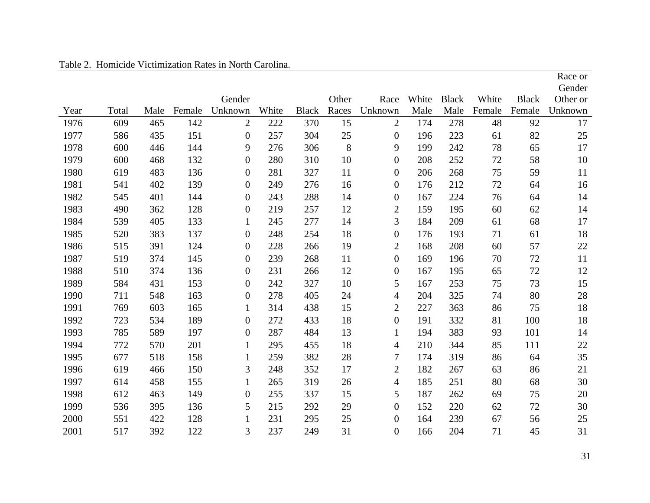|      |       |      |        |                  |       |              |       |                  |       |              |        |              | Race or  |
|------|-------|------|--------|------------------|-------|--------------|-------|------------------|-------|--------------|--------|--------------|----------|
|      |       |      |        |                  |       |              |       |                  |       |              |        |              | Gender   |
|      |       |      |        | Gender           |       |              | Other | Race             | White | <b>Black</b> | White  | <b>Black</b> | Other or |
| Year | Total | Male | Female | Unknown          | White | <b>Black</b> | Races | Unknown          | Male  | Male         | Female | Female       | Unknown  |
| 1976 | 609   | 465  | 142    | $\overline{2}$   | 222   | 370          | 15    | $\overline{2}$   | 174   | 278          | 48     | 92           | 17       |
| 1977 | 586   | 435  | 151    | $\boldsymbol{0}$ | 257   | 304          | 25    | $\overline{0}$   | 196   | 223          | 61     | 82           | 25       |
| 1978 | 600   | 446  | 144    | 9                | 276   | 306          | 8     | 9                | 199   | 242          | 78     | 65           | 17       |
| 1979 | 600   | 468  | 132    | $\boldsymbol{0}$ | 280   | 310          | 10    | $\boldsymbol{0}$ | 208   | 252          | 72     | 58           | $10\,$   |
| 1980 | 619   | 483  | 136    | $\boldsymbol{0}$ | 281   | 327          | 11    | $\mathbf{0}$     | 206   | 268          | 75     | 59           | 11       |
| 1981 | 541   | 402  | 139    | $\boldsymbol{0}$ | 249   | 276          | 16    | $\boldsymbol{0}$ | 176   | 212          | 72     | 64           | 16       |
| 1982 | 545   | 401  | 144    | $\boldsymbol{0}$ | 243   | 288          | 14    | 0                | 167   | 224          | 76     | 64           | 14       |
| 1983 | 490   | 362  | 128    | $\boldsymbol{0}$ | 219   | 257          | 12    | $\overline{c}$   | 159   | 195          | 60     | 62           | 14       |
| 1984 | 539   | 405  | 133    | $\mathbf{1}$     | 245   | 277          | 14    | 3                | 184   | 209          | 61     | 68           | 17       |
| 1985 | 520   | 383  | 137    | $\boldsymbol{0}$ | 248   | 254          | 18    | $\boldsymbol{0}$ | 176   | 193          | 71     | 61           | 18       |
| 1986 | 515   | 391  | 124    | $\boldsymbol{0}$ | 228   | 266          | 19    | $\overline{2}$   | 168   | 208          | 60     | 57           | $22\,$   |
| 1987 | 519   | 374  | 145    | $\boldsymbol{0}$ | 239   | 268          | 11    | $\boldsymbol{0}$ | 169   | 196          | 70     | 72           | 11       |
| 1988 | 510   | 374  | 136    | $\boldsymbol{0}$ | 231   | 266          | 12    | $\boldsymbol{0}$ | 167   | 195          | 65     | 72           | 12       |
| 1989 | 584   | 431  | 153    | $\boldsymbol{0}$ | 242   | 327          | 10    | 5                | 167   | 253          | 75     | 73           | 15       |
| 1990 | 711   | 548  | 163    | $\boldsymbol{0}$ | 278   | 405          | 24    | 4                | 204   | 325          | 74     | 80           | 28       |
| 1991 | 769   | 603  | 165    | $\mathbf{1}$     | 314   | 438          | 15    | $\overline{2}$   | 227   | 363          | 86     | 75           | 18       |
| 1992 | 723   | 534  | 189    | $\boldsymbol{0}$ | 272   | 433          | 18    | $\overline{0}$   | 191   | 332          | 81     | 100          | 18       |
| 1993 | 785   | 589  | 197    | $\boldsymbol{0}$ | 287   | 484          | 13    | $\mathbf{1}$     | 194   | 383          | 93     | 101          | 14       |
| 1994 | 772   | 570  | 201    | $\mathbf{1}$     | 295   | 455          | 18    | 4                | 210   | 344          | 85     | 111          | 22       |
| 1995 | 677   | 518  | 158    | $\mathbf{1}$     | 259   | 382          | 28    | 7                | 174   | 319          | 86     | 64           | 35       |
| 1996 | 619   | 466  | 150    | 3                | 248   | 352          | 17    | $\overline{2}$   | 182   | 267          | 63     | 86           | 21       |
| 1997 | 614   | 458  | 155    | $\mathbf{1}$     | 265   | 319          | 26    | 4                | 185   | 251          | 80     | 68           | 30       |
| 1998 | 612   | 463  | 149    | $\boldsymbol{0}$ | 255   | 337          | 15    | 5                | 187   | 262          | 69     | 75           | 20       |
| 1999 | 536   | 395  | 136    | 5                | 215   | 292          | 29    | $\boldsymbol{0}$ | 152   | 220          | 62     | 72           | 30       |
| 2000 | 551   | 422  | 128    | $\mathbf{1}$     | 231   | 295          | 25    | $\overline{0}$   | 164   | 239          | 67     | 56           | 25       |
| 2001 | 517   | 392  | 122    | 3                | 237   | 249          | 31    | $\boldsymbol{0}$ | 166   | 204          | 71     | 45           | 31       |

Table 2. Homicide Victimization Rates in North Carolina.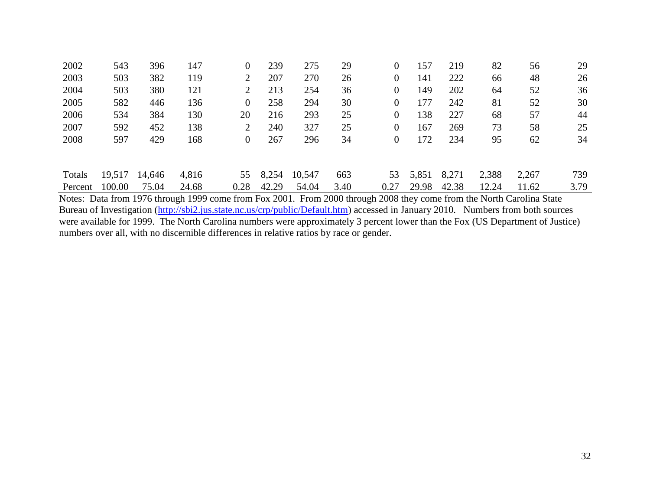| 2002    | 543    | 396    | 147   | $\overline{0}$   | 239   | 275    | 29   | $\overline{0}$ | 157   | 219   | 82    | 56    | 29   |
|---------|--------|--------|-------|------------------|-------|--------|------|----------------|-------|-------|-------|-------|------|
| 2003    | 503    | 382    | 119   | $\overline{2}$   | 207   | 270    | 26   | $\overline{0}$ | 141   | 222   | 66    | 48    | 26   |
| 2004    | 503    | 380    | 121   | 2                | 213   | 254    | 36   | $\overline{0}$ | 149   | 202   | 64    | 52    | 36   |
| 2005    | 582    | 446    | 136   | $\boldsymbol{0}$ | 258   | 294    | 30   | $\overline{0}$ | 177   | 242   | 81    | 52    | 30   |
| 2006    | 534    | 384    | 130   | 20               | 216   | 293    | 25   | $\overline{0}$ | 138   | 227   | 68    | 57    | 44   |
| 2007    | 592    | 452    | 138   | 2                | 240   | 327    | 25   | $\overline{0}$ | 167   | 269   | 73    | 58    | 25   |
| 2008    | 597    | 429    | 168   | $\boldsymbol{0}$ | 267   | 296    | 34   | $\overline{0}$ | 172   | 234   | 95    | 62    | 34   |
|         |        |        |       |                  |       |        |      |                |       |       |       |       |      |
| Totals  | 19,517 | 14,646 | 4,816 | 55               | 8,254 | 10,547 | 663  | 53             | 5,851 | 8,271 | 2,388 | 2,267 | 739  |
| Percent | 100.00 | 75.04  | 24.68 | 0.28             | 42.29 | 54.04  | 3.40 | 0.27           | 29.98 | 42.38 | 12.24 | 11.62 | 3.79 |

Notes: Data from 1976 through 1999 come from Fox 2001. From 2000 through 2008 they come from the North Carolina State Bureau of Investigation [\(http://sbi2.jus.state.nc.us/crp/public/Default.htm\)](http://sbi2.jus.state.nc.us/crp/public/Default.htm) accessed in January 2010. Numbers from both sources were available for 1999. The North Carolina numbers were approximately 3 percent lower than the Fox (US Department of Justice) numbers over all, with no discernible differences in relative ratios by race or gender.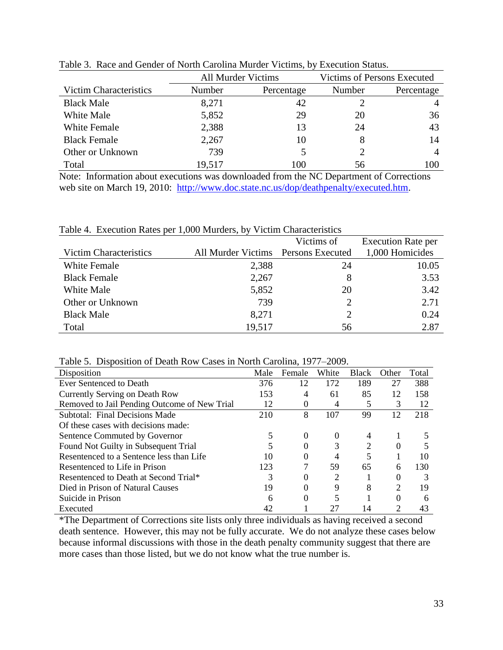|                        | <b>All Murder Victims</b> |            | Victims of Persons Executed |            |
|------------------------|---------------------------|------------|-----------------------------|------------|
| Victim Characteristics | Number                    | Percentage | Number                      | Percentage |
| <b>Black Male</b>      | 8,271                     | 42         |                             |            |
| White Male             | 5,852                     | 29         | 20                          | 36         |
| <b>White Female</b>    | 2,388                     | 13         | 24                          | 43         |
| <b>Black Female</b>    | 2,267                     | 10         |                             | 14         |
| Other or Unknown       | 739                       |            |                             |            |
| Total                  | 19,517                    | 100        | 56                          | 100        |

Table 3. Race and Gender of North Carolina Murder Victims, by Execution Status.

Note: Information about executions was downloaded from the NC Department of Corrections web site on March 19, 2010: [http://www.doc.state.nc.us/dop/deathpenalty/executed.htm.](http://www.doc.state.nc.us/dop/deathpenalty/executed.htm)

Table 4. Execution Rates per 1,000 Murders, by Victim Characteristics

|                        |                                     | Victims of     | <b>Execution Rate per</b> |
|------------------------|-------------------------------------|----------------|---------------------------|
| Victim Characteristics | All Murder Victims Persons Executed |                | 1,000 Homicides           |
| <b>White Female</b>    | 2,388                               | 24             | 10.05                     |
| <b>Black Female</b>    | 2,267                               | 8              | 3.53                      |
| White Male             | 5,852                               | 20             | 3.42                      |
| Other or Unknown       | 739                                 | $\overline{2}$ | 2.71                      |
| <b>Black Male</b>      | 8,271                               |                | 0.24                      |
| Total                  | 19,517                              | 56             | 2.87                      |

Table 5. Disposition of Death Row Cases in North Carolina, 1977–2009.

| Disposition                                  | Male | Female   | White | <b>Black</b>   | Other    | Total |
|----------------------------------------------|------|----------|-------|----------------|----------|-------|
| Ever Sentenced to Death                      | 376  | 12       | 172   | 189            | 27       | 388   |
| Currently Serving on Death Row               | 153  | 4        | 61    | 85             | 12       | 158   |
| Removed to Jail Pending Outcome of New Trial | 12   | $\theta$ |       | 5              | 3        | 12    |
| <b>Subtotal: Final Decisions Made</b>        | 210  | 8        | 107   | 99             | 12       | 218   |
| Of these cases with decisions made:          |      |          |       |                |          |       |
| Sentence Commuted by Governor                |      | $\Omega$ |       | 4              |          |       |
| Found Not Guilty in Subsequent Trial         |      |          |       | $\overline{2}$ | $\Omega$ |       |
| Resentenced to a Sentence less than Life     | 10   | 0        | 4     | 5              |          | 10    |
| Resentenced to Life in Prison                | 123  |          | 59    | 65             | 6        | 130   |
| Resentenced to Death at Second Trial*        | 3    |          | 2     |                | $\Omega$ |       |
| Died in Prison of Natural Causes             | 19   | 0        | 9     | 8              | ∍        | 19    |
| Suicide in Prison                            | 6    | 0        |       |                | $\theta$ | 6     |
| Executed                                     | 42   |          | 27    | 14             | 2        | 43    |

\*The Department of Corrections site lists only three individuals as having received a second death sentence. However, this may not be fully accurate. We do not analyze these cases below because informal discussions with those in the death penalty community suggest that there are more cases than those listed, but we do not know what the true number is.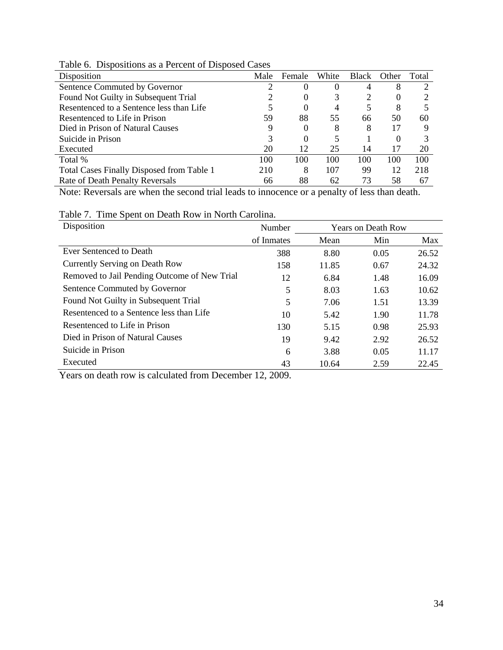| Disposition                               | Male | Female   | White | <b>Black</b> | Other | Total |
|-------------------------------------------|------|----------|-------|--------------|-------|-------|
| Sentence Commuted by Governor             |      | 0        |       |              |       |       |
| Found Not Guilty in Subsequent Trial      |      | $\theta$ |       |              |       |       |
| Resentenced to a Sentence less than Life  |      | $\theta$ | 4     |              | 8     |       |
| Resentenced to Life in Prison             | 59   | 88       | 55    | 66           | 50    | 60    |
| Died in Prison of Natural Causes          |      | $\theta$ | 8     | 8            | 17    |       |
| Suicide in Prison                         |      | $\Omega$ |       |              |       |       |
| Executed                                  | 20   | 12       | 25    | 14           | 17    | 20    |
| Total %                                   | 100  | 100      | 100   | 100          | 100   | 100   |
| Total Cases Finally Disposed from Table 1 | 210  | 8        | 107   | 99           | 12    | 218   |
| Rate of Death Penalty Reversals           | 66   | 88       | 62    | 73           | 58    | 67    |

Table 6. Dispositions as a Percent of Disposed Cases

Note: Reversals are when the second trial leads to innocence or a penalty of less than death.

Table 7. Time Spent on Death Row in North Carolina.

| Disposition                                  | Number     | <b>Years on Death Row</b> |      |       |
|----------------------------------------------|------------|---------------------------|------|-------|
|                                              | of Inmates | Mean                      | Min  | Max   |
| Ever Sentenced to Death                      | 388        | 8.80                      | 0.05 | 26.52 |
| Currently Serving on Death Row               | 158        | 11.85                     | 0.67 | 24.32 |
| Removed to Jail Pending Outcome of New Trial | 12         | 6.84                      | 1.48 | 16.09 |
| Sentence Commuted by Governor                | 5          | 8.03                      | 1.63 | 10.62 |
| Found Not Guilty in Subsequent Trial         | 5          | 7.06                      | 1.51 | 13.39 |
| Resentenced to a Sentence less than Life     | 10         | 5.42                      | 1.90 | 11.78 |
| Resentenced to Life in Prison                | 130        | 5.15                      | 0.98 | 25.93 |
| Died in Prison of Natural Causes             | 19         | 9.42                      | 2.92 | 26.52 |
| Suicide in Prison                            | 6          | 3.88                      | 0.05 | 11.17 |
| Executed                                     | 43         | 10.64                     | 2.59 | 22.45 |

Years on death row is calculated from December 12, 2009.